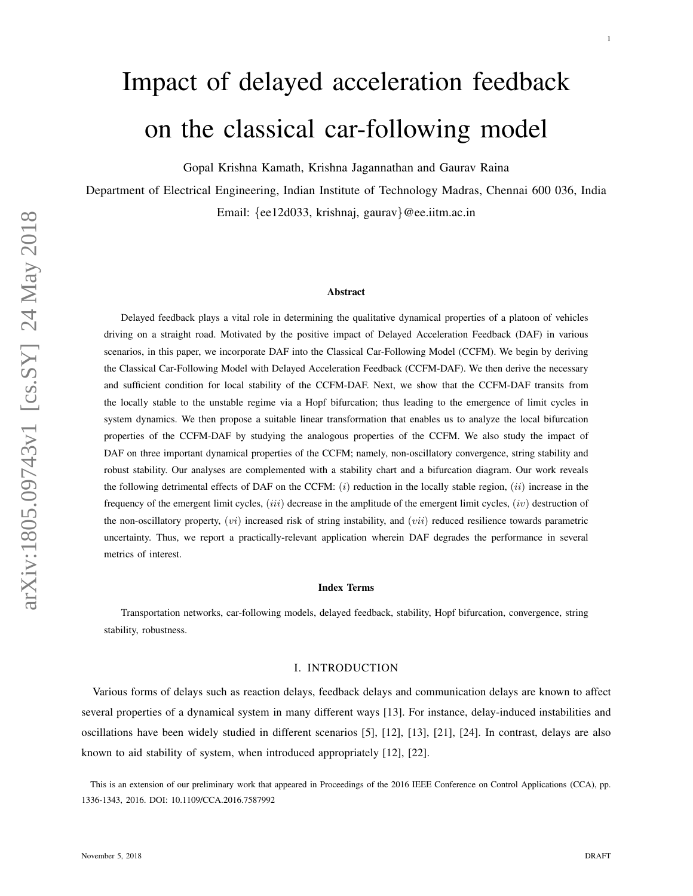# Impact of delayed acceleration feedback on the classical car-following model

Gopal Krishna Kamath, Krishna Jagannathan and Gaurav Raina

Department of Electrical Engineering, Indian Institute of Technology Madras, Chennai 600 036, India Email: {ee12d033, krishnaj, gaurav }@ee.iitm.ac.in

#### Abstract

Delayed feedback plays a vital role in determining the qualitative dynamical properties of a platoon of vehicles driving on a straight road. Motivated by the positive impact of Delayed Acceleration Feedback (DAF) in various scenarios, in this paper, we incorporate DAF into the Classical Car-Following Model (CCFM). We begin by deriving the Classical Car-Following Model with Delayed Acceleration Feedback (CCFM-DAF). We then derive the necessary and sufficient condition for local stability of the CCFM-DAF. Next, we show that the CCFM-DAF transits from the locally stable to the unstable regime via a Hopf bifurcation; thus leading to the emergence of limit cycles in system dynamics. We then propose a suitable linear transformation that enables us to analyze the local bifurcation properties of the CCFM-DAF by studying the analogous properties of the CCFM. We also study the impact of DAF on three important dynamical properties of the CCFM; namely, non-oscillatory convergence, string stability and robust stability. Our analyses are complemented with a stability chart and a bifurcation diagram. Our work reveals the following detrimental effects of DAF on the CCFM:  $(i)$  reduction in the locally stable region,  $(ii)$  increase in the frequency of the emergent limit cycles,  $(iii)$  decrease in the amplitude of the emergent limit cycles,  $(iv)$  destruction of the non-oscillatory property,  $(vi)$  increased risk of string instability, and  $(vii)$  reduced resilience towards parametric uncertainty. Thus, we report a practically-relevant application wherein DAF degrades the performance in several metrics of interest.

#### Index Terms

Transportation networks, car-following models, delayed feedback, stability, Hopf bifurcation, convergence, strin g stability, robustness.

#### I. INTRODUCTION

Various forms of delays such as reaction delays, feedback delays and communication delays are known to affect several properties of a dynamical system in many different ways [13]. For instance, delay-induced instabilities and oscillations have been widely studied in different scenarios [5], [12], [13], [21], [24]. In contrast, delays are also known to aid stability of system, when introduced appropriately [12], [22].

This is an extension of our preliminary work that appeared in Proceedings of the 2016 IEEE Conference on Control Applications (CCA), pp. 1336-1343, 2016. DOI: 10.1109/CCA.2016.7587992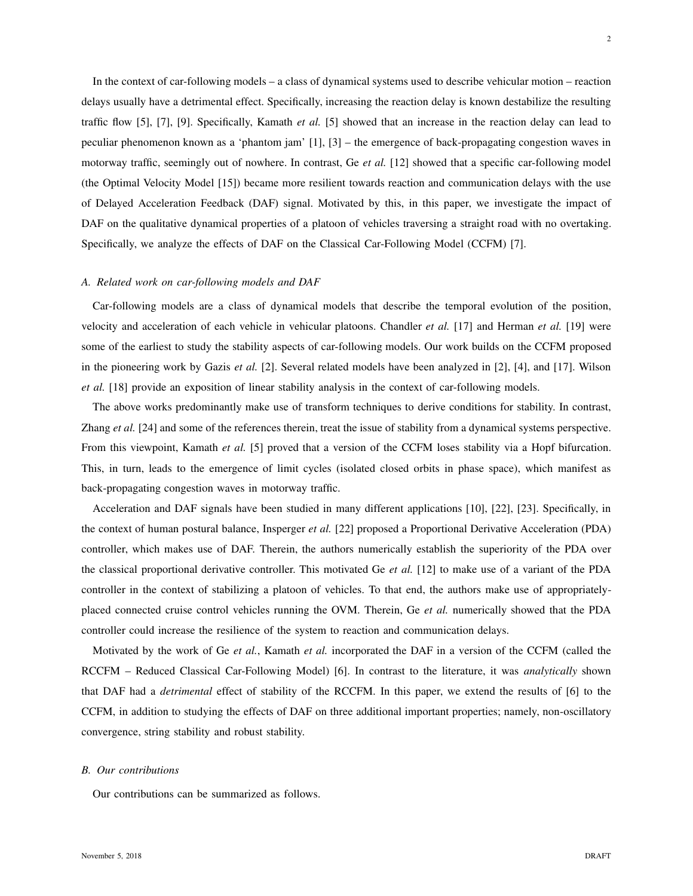In the context of car-following models – a class of dynamical systems used to describe vehicular motion – reaction delays usually have a detrimental effect. Specifically, increasing the reaction delay is known destabilize the resulting traffic flow [5], [7], [9]. Specifically, Kamath *et al.* [5] showed that an increase in the reaction delay can lead to peculiar phenomenon known as a 'phantom jam' [1], [3] – the emergence of back-propagating congestion waves in motorway traffic, seemingly out of nowhere. In contrast, Ge *et al.* [12] showed that a specific car-following model (the Optimal Velocity Model [15]) became more resilient towards reaction and communication delays with the use of Delayed Acceleration Feedback (DAF) signal. Motivated by this, in this paper, we investigate the impact of DAF on the qualitative dynamical properties of a platoon of vehicles traversing a straight road with no overtaking. Specifically, we analyze the effects of DAF on the Classical Car-Following Model (CCFM) [7].

## *A. Related work on car-following models and DAF*

Car-following models are a class of dynamical models that describe the temporal evolution of the position, velocity and acceleration of each vehicle in vehicular platoons. Chandler *et al.* [17] and Herman *et al.* [19] were some of the earliest to study the stability aspects of car-following models. Our work builds on the CCFM proposed in the pioneering work by Gazis *et al.* [2]. Several related models have been analyzed in [2], [4], and [17]. Wilson *et al.* [18] provide an exposition of linear stability analysis in the context of car-following models.

The above works predominantly make use of transform techniques to derive conditions for stability. In contrast, Zhang *et al.* [24] and some of the references therein, treat the issue of stability from a dynamical systems perspective. From this viewpoint, Kamath *et al.* [5] proved that a version of the CCFM loses stability via a Hopf bifurcation. This, in turn, leads to the emergence of limit cycles (isolated closed orbits in phase space), which manifest as back-propagating congestion waves in motorway traffic.

Acceleration and DAF signals have been studied in many different applications [10], [22], [23]. Specifically, in the context of human postural balance, Insperger *et al.* [22] proposed a Proportional Derivative Acceleration (PDA) controller, which makes use of DAF. Therein, the authors numerically establish the superiority of the PDA over the classical proportional derivative controller. This motivated Ge *et al.* [12] to make use of a variant of the PDA controller in the context of stabilizing a platoon of vehicles. To that end, the authors make use of appropriatelyplaced connected cruise control vehicles running the OVM. Therein, Ge *et al.* numerically showed that the PDA controller could increase the resilience of the system to reaction and communication delays.

Motivated by the work of Ge *et al.*, Kamath *et al.* incorporated the DAF in a version of the CCFM (called the RCCFM – Reduced Classical Car-Following Model) [6]. In contrast to the literature, it was *analytically* shown that DAF had a *detrimental* effect of stability of the RCCFM. In this paper, we extend the results of [6] to the CCFM, in addition to studying the effects of DAF on three additional important properties; namely, non-oscillatory convergence, string stability and robust stability.

#### *B. Our contributions*

Our contributions can be summarized as follows.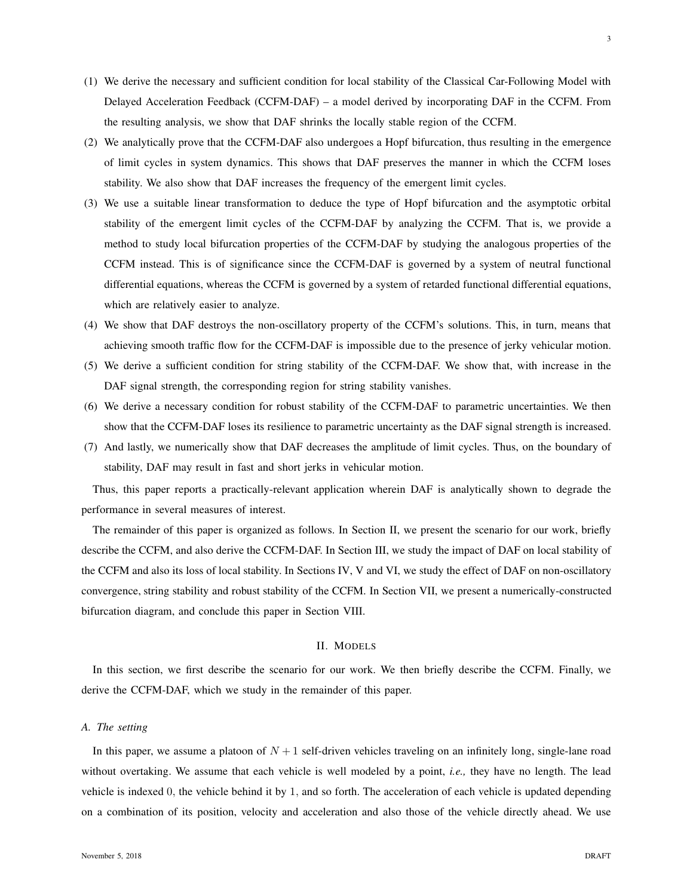- (1) We derive the necessary and sufficient condition for local stability of the Classical Car-Following Model with Delayed Acceleration Feedback (CCFM-DAF) – a model derived by incorporating DAF in the CCFM. From the resulting analysis, we show that DAF shrinks the locally stable region of the CCFM.
- (2) We analytically prove that the CCFM-DAF also undergoes a Hopf bifurcation, thus resulting in the emergence of limit cycles in system dynamics. This shows that DAF preserves the manner in which the CCFM loses stability. We also show that DAF increases the frequency of the emergent limit cycles.
- (3) We use a suitable linear transformation to deduce the type of Hopf bifurcation and the asymptotic orbital stability of the emergent limit cycles of the CCFM-DAF by analyzing the CCFM. That is, we provide a method to study local bifurcation properties of the CCFM-DAF by studying the analogous properties of the CCFM instead. This is of significance since the CCFM-DAF is governed by a system of neutral functional differential equations, whereas the CCFM is governed by a system of retarded functional differential equations, which are relatively easier to analyze.
- (4) We show that DAF destroys the non-oscillatory property of the CCFM's solutions. This, in turn, means that achieving smooth traffic flow for the CCFM-DAF is impossible due to the presence of jerky vehicular motion.
- (5) We derive a sufficient condition for string stability of the CCFM-DAF. We show that, with increase in the DAF signal strength, the corresponding region for string stability vanishes.
- (6) We derive a necessary condition for robust stability of the CCFM-DAF to parametric uncertainties. We then show that the CCFM-DAF loses its resilience to parametric uncertainty as the DAF signal strength is increased.
- (7) And lastly, we numerically show that DAF decreases the amplitude of limit cycles. Thus, on the boundary of stability, DAF may result in fast and short jerks in vehicular motion.

Thus, this paper reports a practically-relevant application wherein DAF is analytically shown to degrade the performance in several measures of interest.

The remainder of this paper is organized as follows. In Section II, we present the scenario for our work, briefly describe the CCFM, and also derive the CCFM-DAF. In Section III, we study the impact of DAF on local stability of the CCFM and also its loss of local stability. In Sections IV, V and VI, we study the effect of DAF on non-oscillatory convergence, string stability and robust stability of the CCFM. In Section VII, we present a numerically-constructed bifurcation diagram, and conclude this paper in Section VIII.

## II. MODELS

In this section, we first describe the scenario for our work. We then briefly describe the CCFM. Finally, we derive the CCFM-DAF, which we study in the remainder of this paper.

## *A. The setting*

In this paper, we assume a platoon of  $N + 1$  self-driven vehicles traveling on an infinitely long, single-lane road without overtaking. We assume that each vehicle is well modeled by a point, *i.e.,* they have no length. The lead vehicle is indexed 0, the vehicle behind it by 1, and so forth. The acceleration of each vehicle is updated depending on a combination of its position, velocity and acceleration and also those of the vehicle directly ahead. We use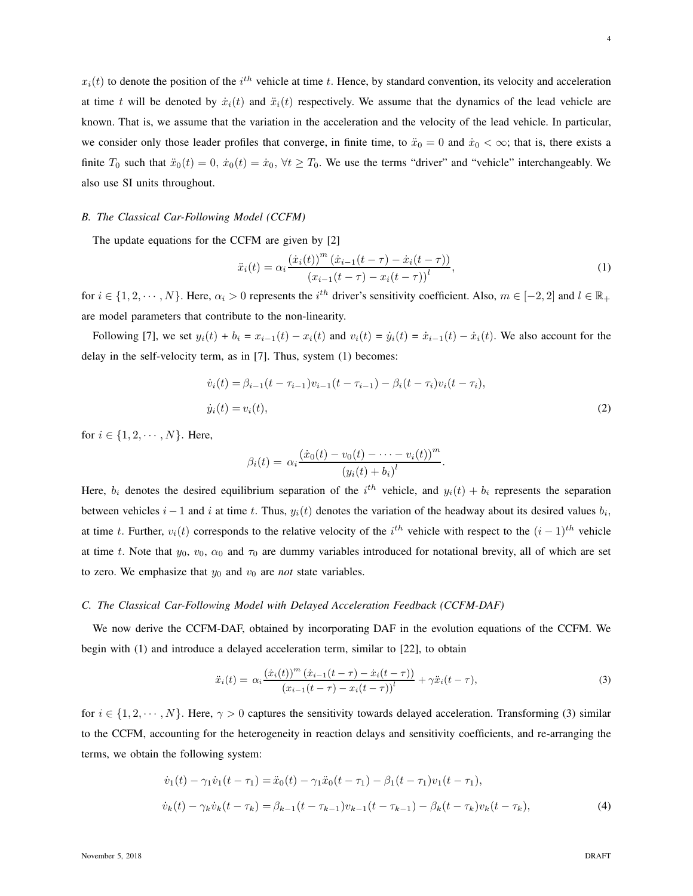$x_i(t)$  to denote the position of the  $i^{th}$  vehicle at time t. Hence, by standard convention, its velocity and acceleration at time t will be denoted by  $\dot{x}_i(t)$  and  $\ddot{x}_i(t)$  respectively. We assume that the dynamics of the lead vehicle are known. That is, we assume that the variation in the acceleration and the velocity of the lead vehicle. In particular, we consider only those leader profiles that converge, in finite time, to  $\ddot{x}_0 = 0$  and  $\dot{x}_0 < \infty$ ; that is, there exists a finite  $T_0$  such that  $\ddot{x}_0(t) = 0$ ,  $\dot{x}_0(t) = \dot{x}_0$ ,  $\forall t \geq T_0$ . We use the terms "driver" and "vehicle" interchangeably. We also use SI units throughout.

#### *B. The Classical Car-Following Model (CCFM)*

The update equations for the CCFM are given by [2]

$$
\ddot{x}_i(t) = \alpha_i \frac{(\dot{x}_i(t))^m (\dot{x}_{i-1}(t-\tau) - \dot{x}_i(t-\tau))}{(x_{i-1}(t-\tau) - x_i(t-\tau))^l},
$$
\n(1)

for  $i \in \{1, 2, \dots, N\}$ . Here,  $\alpha_i > 0$  represents the  $i^{th}$  driver's sensitivity coefficient. Also,  $m \in [-2, 2]$  and  $l \in \mathbb{R}_+$ are model parameters that contribute to the non-linearity.

Following [7], we set  $y_i(t) + b_i = x_{i-1}(t) - x_i(t)$  and  $v_i(t) = \dot{y}_i(t) = \dot{x}_{i-1}(t) - \dot{x}_i(t)$ . We also account for the delay in the self-velocity term, as in [7]. Thus, system (1) becomes:

$$
\dot{v}_i(t) = \beta_{i-1}(t - \tau_{i-1})v_{i-1}(t - \tau_{i-1}) - \beta_i(t - \tau_i)v_i(t - \tau_i),
$$
  
\n
$$
\dot{y}_i(t) = v_i(t),
$$
\n(2)

.

for  $i \in \{1, 2, \dots, N\}$ . Here,

$$
\beta_i(t) = \alpha_i \frac{(\dot{x}_0(t) - v_0(t) - \dots - v_i(t))^m}{(y_i(t) + b_i)^l}
$$

Here,  $b_i$  denotes the desired equilibrium separation of the  $i^{th}$  vehicle, and  $y_i(t) + b_i$  represents the separation between vehicles  $i - 1$  and i at time t. Thus,  $y_i(t)$  denotes the variation of the headway about its desired values  $b_i$ , at time t. Further,  $v_i(t)$  corresponds to the relative velocity of the  $i^{th}$  vehicle with respect to the  $(i-1)^{th}$  vehicle at time t. Note that  $y_0$ ,  $v_0$ ,  $\alpha_0$  and  $\tau_0$  are dummy variables introduced for notational brevity, all of which are set to zero. We emphasize that  $y_0$  and  $v_0$  are *not* state variables.

#### *C. The Classical Car-Following Model with Delayed Acceleration Feedback (CCFM-DAF)*

We now derive the CCFM-DAF, obtained by incorporating DAF in the evolution equations of the CCFM. We begin with (1) and introduce a delayed acceleration term, similar to [22], to obtain

$$
\ddot{x}_i(t) = \alpha_i \frac{(\dot{x}_i(t))^m (\dot{x}_{i-1}(t-\tau) - \dot{x}_i(t-\tau))}{(x_{i-1}(t-\tau) - x_i(t-\tau))^l} + \gamma \ddot{x}_i(t-\tau),
$$
\n(3)

for  $i \in \{1, 2, \dots, N\}$ . Here,  $\gamma > 0$  captures the sensitivity towards delayed acceleration. Transforming (3) similar to the CCFM, accounting for the heterogeneity in reaction delays and sensitivity coefficients, and re-arranging the terms, we obtain the following system:

$$
\dot{v}_1(t) - \gamma_1 \dot{v}_1(t - \tau_1) = \ddot{x}_0(t) - \gamma_1 \ddot{x}_0(t - \tau_1) - \beta_1(t - \tau_1)v_1(t - \tau_1),
$$
  
\n
$$
\dot{v}_k(t) - \gamma_k \dot{v}_k(t - \tau_k) = \beta_{k-1}(t - \tau_{k-1})v_{k-1}(t - \tau_{k-1}) - \beta_k(t - \tau_k)v_k(t - \tau_k),
$$
\n(4)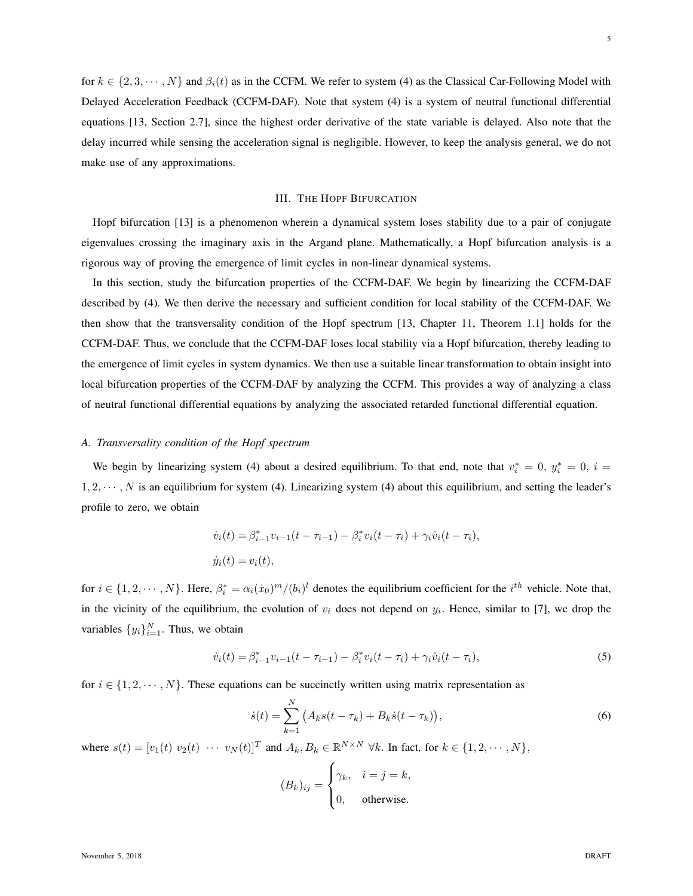for  $k \in \{2, 3, \dots, N\}$  and  $\beta_i(t)$  as in the CCFM. We refer to system (4) as the Classical Car-Following Model with Delayed Acceleration Feedback (CCFM-DAF). Note that system (4) is a system of neutral functional differential equations [13, Section 2.7], since the highest order derivative of the state variable is delayed. Also note that the delay incurred while sensing the acceleration signal is negligible. However, to keep the analysis general, we do not make use of any approximations.

#### III. THE HOPF BIFURCATION

Hopf bifurcation [13] is a phenomenon wherein a dynamical system loses stability due to a pair of conjugate eigenvalues crossing the imaginary axis in the Argand plane. Mathematically, a Hopf bifurcation analysis is a rigorous way of proving the emergence of limit cycles in non-linear dynamical systems.

In this section, study the bifurcation properties of the CCFM-DAF. We begin by linearizing the CCFM-DAF described by (4). We then derive the necessary and sufficient condition for local stability of the CCFM-DAF. We then show that the transversality condition of the Hopf spectrum [13, Chapter 11, Theorem 1.1] holds for the CCFM-DAF. Thus, we conclude that the CCFM-DAF loses local stability via a Hopf bifurcation, thereby leading to the emergence of limit cycles in system dynamics. We then use a suitable linear transformation to obtain insight into local bifurcation properties of the CCFM-DAF by analyzing the CCFM. This provides a way of analyzing a class of neutral functional differential equations by analyzing the associated retarded functional differential equation.

## *A. Transversality condition of the Hopf spectrum*

We begin by linearizing system (4) about a desired equilibrium. To that end, note that  $v_i^* = 0$ ,  $y_i^* = 0$ ,  $i =$  $1, 2, \dots, N$  is an equilibrium for system (4). Linearizing system (4) about this equilibrium, and setting the leader's profile to zero, we obtain

$$
\dot{v}_i(t) = \beta_{i-1}^* v_{i-1}(t - \tau_{i-1}) - \beta_i^* v_i(t - \tau_i) + \gamma_i \dot{v}_i(t - \tau_i),
$$
  

$$
\dot{y}_i(t) = v_i(t),
$$

for  $i \in \{1, 2, \dots, N\}$ . Here,  $\beta_i^* = \alpha_i(\dot{x}_0)^m / (b_i)^l$  denotes the equilibrium coefficient for the  $i^{th}$  vehicle. Note that, in the vicinity of the equilibrium, the evolution of  $v_i$  does not depend on  $y_i$ . Hence, similar to [7], we drop the variables  $\{y_i\}_{i=1}^N$ . Thus, we obtain

$$
\dot{v}_i(t) = \beta_{i-1}^* v_{i-1}(t - \tau_{i-1}) - \beta_i^* v_i(t - \tau_i) + \gamma_i \dot{v}_i(t - \tau_i),
$$
\n(5)

for  $i \in \{1, 2, \dots, N\}$ . These equations can be succinctly written using matrix representation as

$$
\dot{s}(t) = \sum_{k=1}^{N} (A_k s(t - \tau_k) + B_k \dot{s}(t - \tau_k)),
$$
\n(6)

where  $s(t) = [v_1(t) \ v_2(t) \ \cdots \ v_N(t)]^T$  and  $A_k, B_k \in \mathbb{R}^{N \times N} \ \forall k$ . In fact, for  $k \in \{1, 2, \cdots, N\}$ ,

$$
(B_k)_{ij} = \begin{cases} \gamma_k, & i = j = k, \\ 0, & \text{otherwise.} \end{cases}
$$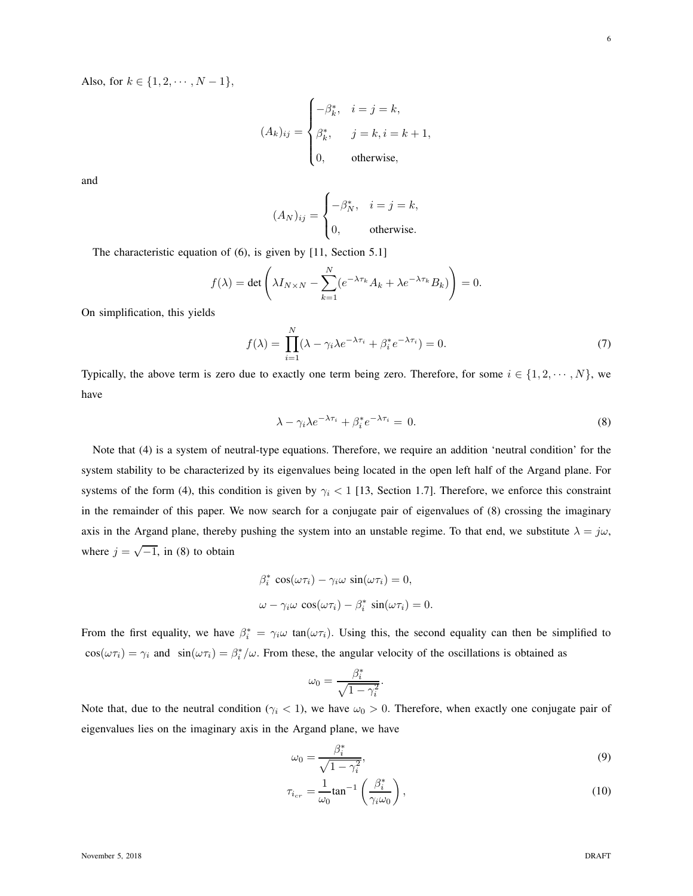Also, for  $k \in \{1, 2, \dots, N - 1\}$ ,

$$
(A_k)_{ij} = \begin{cases} -\beta_k^*, & i = j = k, \\ \beta_k^*, & j = k, i = k+1, \\ 0, & \text{otherwise,} \end{cases}
$$

and

$$
(A_N)_{ij} = \begin{cases} -\beta_N^*, & i = j = k, \\ 0, & \text{otherwise.} \end{cases}
$$

The characteristic equation of (6), is given by [11, Section 5.1]

$$
f(\lambda) = \det \left( \lambda I_{N \times N} - \sum_{k=1}^{N} (e^{-\lambda \tau_k} A_k + \lambda e^{-\lambda \tau_k} B_k) \right) = 0.
$$

On simplification, this yields

$$
f(\lambda) = \prod_{i=1}^{N} (\lambda - \gamma_i \lambda e^{-\lambda \tau_i} + \beta_i^* e^{-\lambda \tau_i}) = 0.
$$
 (7)

Typically, the above term is zero due to exactly one term being zero. Therefore, for some  $i \in \{1, 2, \dots, N\}$ , we have

$$
\lambda - \gamma_i \lambda e^{-\lambda \tau_i} + \beta_i^* e^{-\lambda \tau_i} = 0.
$$
\n(8)

Note that (4) is a system of neutral-type equations. Therefore, we require an addition 'neutral condition' for the system stability to be characterized by its eigenvalues being located in the open left half of the Argand plane. For systems of the form (4), this condition is given by  $\gamma_i < 1$  [13, Section 1.7]. Therefore, we enforce this constraint in the remainder of this paper. We now search for a conjugate pair of eigenvalues of (8) crossing the imaginary axis in the Argand plane, thereby pushing the system into an unstable regime. To that end, we substitute  $\lambda = j\omega$ , where  $j = \sqrt{-1}$ , in (8) to obtain

$$
\beta_i^* \cos(\omega \tau_i) - \gamma_i \omega \sin(\omega \tau_i) = 0,
$$
  

$$
\omega - \gamma_i \omega \cos(\omega \tau_i) - \beta_i^* \sin(\omega \tau_i) = 0.
$$

From the first equality, we have  $\beta_i^* = \gamma_i \omega \tan(\omega \tau_i)$ . Using this, the second equality can then be simplified to  $\cos(\omega \tau_i) = \gamma_i$  and  $\sin(\omega \tau_i) = \beta_i^* / \omega$ . From these, the angular velocity of the oscillations is obtained as

$$
\omega_0 = \frac{\beta_i^*}{\sqrt{1 - \gamma_i^2}}.
$$

Note that, due to the neutral condition ( $\gamma_i$  < 1), we have  $\omega_0 > 0$ . Therefore, when exactly one conjugate pair of eigenvalues lies on the imaginary axis in the Argand plane, we have

$$
\omega_0 = \frac{\beta_i^*}{\sqrt{1 - \gamma_i^2}},\tag{9}
$$

$$
\tau_{i_{cr}} = \frac{1}{\omega_0} \tan^{-1} \left( \frac{\beta_i^*}{\gamma_i \omega_0} \right),\tag{10}
$$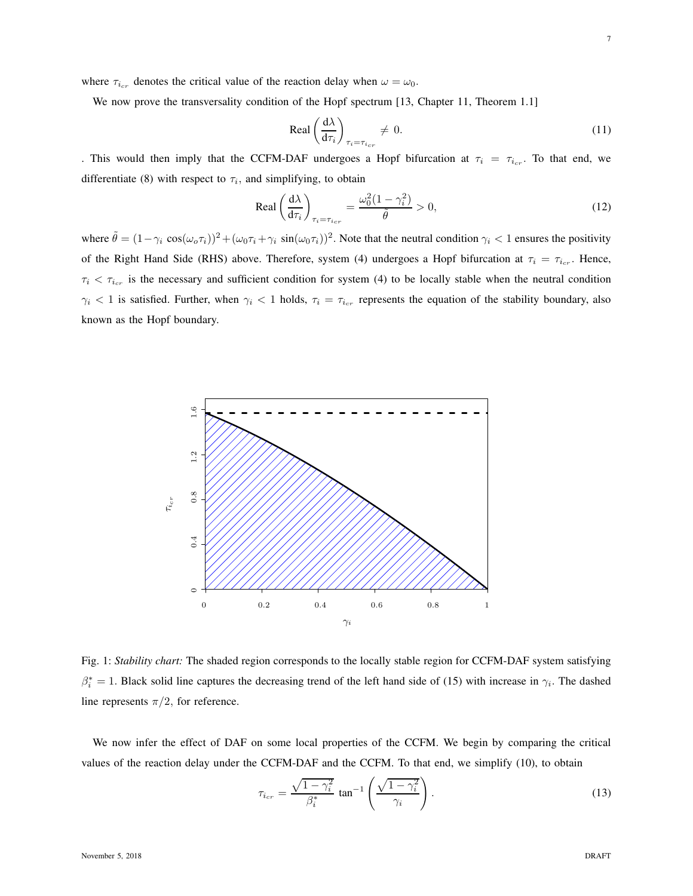We now prove the transversality condition of the Hopf spectrum [13, Chapter 11, Theorem 1.1]

$$
\text{Real}\left(\frac{\mathrm{d}\lambda}{\mathrm{d}\tau_i}\right)_{\tau_i = \tau_{i_{cr}}} \neq 0. \tag{11}
$$

. This would then imply that the CCFM-DAF undergoes a Hopf bifurcation at  $\tau_i = \tau_{i_{cr}}$ . To that end, we differentiate (8) with respect to  $\tau_i$ , and simplifying, to obtain

$$
\text{Real}\left(\frac{\mathrm{d}\lambda}{\mathrm{d}\tau_i}\right)_{\tau_i = \tau_{i_{cr}}} = \frac{\omega_0^2 (1 - \gamma_i^2)}{\tilde{\theta}} > 0,\tag{12}
$$

where  $\tilde{\theta} = (1 - \gamma_i \cos(\omega_o \tau_i))^2 + (\omega_0 \tau_i + \gamma_i \sin(\omega_0 \tau_i))^2$ . Note that the neutral condition  $\gamma_i < 1$  ensures the positivity of the Right Hand Side (RHS) above. Therefore, system (4) undergoes a Hopf bifurcation at  $\tau_i = \tau_{i_{cr}}$ . Hence,  $\tau_i < \tau_{i_{cr}}$  is the necessary and sufficient condition for system (4) to be locally stable when the neutral condition  $\gamma_i$  < 1 is satisfied. Further, when  $\gamma_i$  < 1 holds,  $\tau_i = \tau_{i_{cr}}$  represents the equation of the stability boundary, also known as the Hopf boundary.



Fig. 1: *Stability chart:* The shaded region corresponds to the locally stable region for CCFM-DAF system satisfying  $\beta_i^* = 1$ . Black solid line captures the decreasing trend of the left hand side of (15) with increase in  $\gamma_i$ . The dashed line represents  $\pi/2$ , for reference.

We now infer the effect of DAF on some local properties of the CCFM. We begin by comparing the critical values of the reaction delay under the CCFM-DAF and the CCFM. To that end, we simplify (10), to obtain

$$
\tau_{i_{cr}} = \frac{\sqrt{1 - \gamma_i^2}}{\beta_i^*} \tan^{-1} \left( \frac{\sqrt{1 - \gamma_i^2}}{\gamma_i} \right).
$$
\n(13)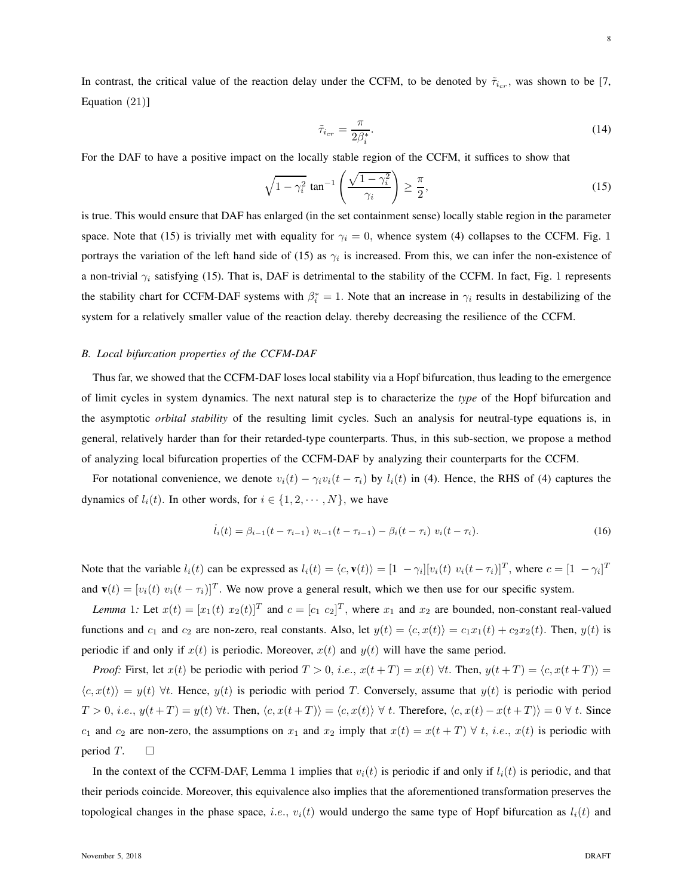In contrast, the critical value of the reaction delay under the CCFM, to be denoted by  $\tilde{\tau}_{i_{cr}}$ , was shown to be [7, Equation (21)]

$$
\tilde{\tau}_{i_{cr}} = \frac{\pi}{2\beta_i^*}.\tag{14}
$$

For the DAF to have a positive impact on the locally stable region of the CCFM, it suffices to show that

$$
\sqrt{1-\gamma_i^2} \tan^{-1} \left( \frac{\sqrt{1-\gamma_i^2}}{\gamma_i} \right) \ge \frac{\pi}{2},\tag{15}
$$

is true. This would ensure that DAF has enlarged (in the set containment sense) locally stable region in the parameter space. Note that (15) is trivially met with equality for  $\gamma_i = 0$ , whence system (4) collapses to the CCFM. Fig. 1 portrays the variation of the left hand side of (15) as  $\gamma_i$  is increased. From this, we can infer the non-existence of a non-trivial  $\gamma_i$  satisfying (15). That is, DAF is detrimental to the stability of the CCFM. In fact, Fig. 1 represents the stability chart for CCFM-DAF systems with  $\beta_i^* = 1$ . Note that an increase in  $\gamma_i$  results in destabilizing of the system for a relatively smaller value of the reaction delay. thereby decreasing the resilience of the CCFM.

#### *B. Local bifurcation properties of the CCFM-DAF*

Thus far, we showed that the CCFM-DAF loses local stability via a Hopf bifurcation, thus leading to the emergence of limit cycles in system dynamics. The next natural step is to characterize the *type* of the Hopf bifurcation and the asymptotic *orbital stability* of the resulting limit cycles. Such an analysis for neutral-type equations is, in general, relatively harder than for their retarded-type counterparts. Thus, in this sub-section, we propose a method of analyzing local bifurcation properties of the CCFM-DAF by analyzing their counterparts for the CCFM.

For notational convenience, we denote  $v_i(t) - \gamma_i v_i(t - \tau_i)$  by  $l_i(t)$  in (4). Hence, the RHS of (4) captures the dynamics of  $l_i(t)$ . In other words, for  $i \in \{1, 2, \dots, N\}$ , we have

$$
\dot{l}_i(t) = \beta_{i-1}(t - \tau_{i-1}) \ v_{i-1}(t - \tau_{i-1}) - \beta_i(t - \tau_i) \ v_i(t - \tau_i). \tag{16}
$$

Note that the variable  $l_i(t)$  can be expressed as  $l_i(t) = \langle c, \mathbf{v}(t) \rangle = [1 - \gamma_i][v_i(t) v_i(t - \tau_i)]^T$ , where  $c = [1 - \gamma_i]^T$ and  $\mathbf{v}(t) = [v_i(t) \ v_i(t - \tau_i)]^T$ . We now prove a general result, which we then use for our specific system.

*Lemma* 1: Let  $x(t) = [x_1(t) \ x_2(t)]^T$  and  $c = [c_1 \ c_2]^T$ , where  $x_1$  and  $x_2$  are bounded, non-constant real-valued functions and  $c_1$  and  $c_2$  are non-zero, real constants. Also, let  $y(t) = \langle c, x(t) \rangle = c_1x_1(t) + c_2x_2(t)$ . Then,  $y(t)$  is periodic if and only if  $x(t)$  is periodic. Moreover,  $x(t)$  and  $y(t)$  will have the same period.

*Proof:* First, let  $x(t)$  be periodic with period  $T > 0$ , i.e.,  $x(t+T) = x(t)$   $\forall t$ . Then,  $y(t+T) = \langle c, x(t+T) \rangle =$  $\langle c, x(t) \rangle = y(t) \,\forall t$ . Hence,  $y(t)$  is periodic with period T. Conversely, assume that  $y(t)$  is periodic with period  $T > 0$ , i.e.,  $y(t + T) = y(t) \forall t$ . Then,  $\langle c, x(t + T) \rangle = \langle c, x(t) \rangle \forall t$ . Therefore,  $\langle c, x(t) - x(t + T) \rangle = 0 \forall t$ . Since c<sub>1</sub> and c<sub>2</sub> are non-zero, the assumptions on  $x_1$  and  $x_2$  imply that  $x(t) = x(t + T) \forall t$ , *i.e.*,  $x(t)$  is periodic with period T.  $\Box$ 

In the context of the CCFM-DAF, Lemma 1 implies that  $v_i(t)$  is periodic if and only if  $l_i(t)$  is periodic, and that their periods coincide. Moreover, this equivalence also implies that the aforementioned transformation preserves the topological changes in the phase space, *i.e.*,  $v_i(t)$  would undergo the same type of Hopf bifurcation as  $l_i(t)$  and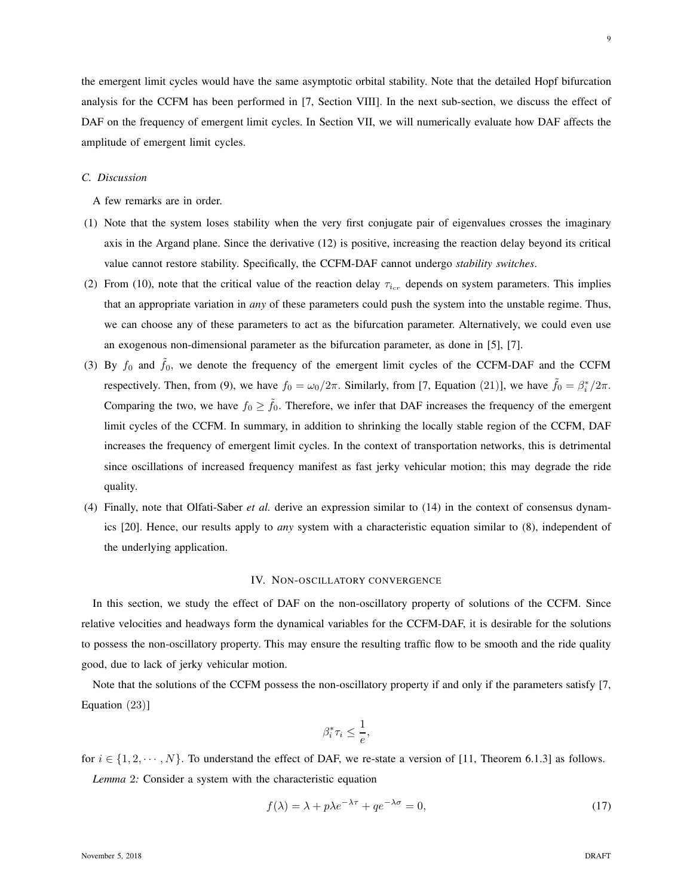the emergent limit cycles would have the same asymptotic orbital stability. Note that the detailed Hopf bifurcation

9

analysis for the CCFM has been performed in [7, Section VIII]. In the next sub-section, we discuss the effect of DAF on the frequency of emergent limit cycles. In Section VII, we will numerically evaluate how DAF affects the amplitude of emergent limit cycles.

## *C. Discussion*

A few remarks are in order.

- (1) Note that the system loses stability when the very first conjugate pair of eigenvalues crosses the imaginary axis in the Argand plane. Since the derivative (12) is positive, increasing the reaction delay beyond its critical value cannot restore stability. Specifically, the CCFM-DAF cannot undergo *stability switches*.
- (2) From (10), note that the critical value of the reaction delay  $\tau_{i_{cr}}$  depends on system parameters. This implies that an appropriate variation in *any* of these parameters could push the system into the unstable regime. Thus, we can choose any of these parameters to act as the bifurcation parameter. Alternatively, we could even use an exogenous non-dimensional parameter as the bifurcation parameter, as done in [5], [7].
- (3) By  $f_0$  and  $\tilde{f}_0$ , we denote the frequency of the emergent limit cycles of the CCFM-DAF and the CCFM respectively. Then, from (9), we have  $f_0 = \omega_0/2\pi$ . Similarly, from [7, Equation (21)], we have  $\tilde{f}_0 = \beta_i^*/2\pi$ . Comparing the two, we have  $f_0 \ge \tilde{f}_0$ . Therefore, we infer that DAF increases the frequency of the emergent limit cycles of the CCFM. In summary, in addition to shrinking the locally stable region of the CCFM, DAF increases the frequency of emergent limit cycles. In the context of transportation networks, this is detrimental since oscillations of increased frequency manifest as fast jerky vehicular motion; this may degrade the ride quality.
- (4) Finally, note that Olfati-Saber *et al.* derive an expression similar to (14) in the context of consensus dynamics [20]. Hence, our results apply to *any* system with a characteristic equation similar to (8), independent of the underlying application.

## IV. NON-OSCILLATORY CONVERGENCE

In this section, we study the effect of DAF on the non-oscillatory property of solutions of the CCFM. Since relative velocities and headways form the dynamical variables for the CCFM-DAF, it is desirable for the solutions to possess the non-oscillatory property. This may ensure the resulting traffic flow to be smooth and the ride quality good, due to lack of jerky vehicular motion.

Note that the solutions of the CCFM possess the non-oscillatory property if and only if the parameters satisfy [7, Equation (23)]

$$
\beta_i^* \tau_i \le \frac{1}{e},
$$

for  $i \in \{1, 2, \dots, N\}$ . To understand the effect of DAF, we re-state a version of [11, Theorem 6.1.3] as follows.

*Lemma* 2*:* Consider a system with the characteristic equation

$$
f(\lambda) = \lambda + p\lambda e^{-\lambda \tau} + q e^{-\lambda \sigma} = 0,
$$
\n(17)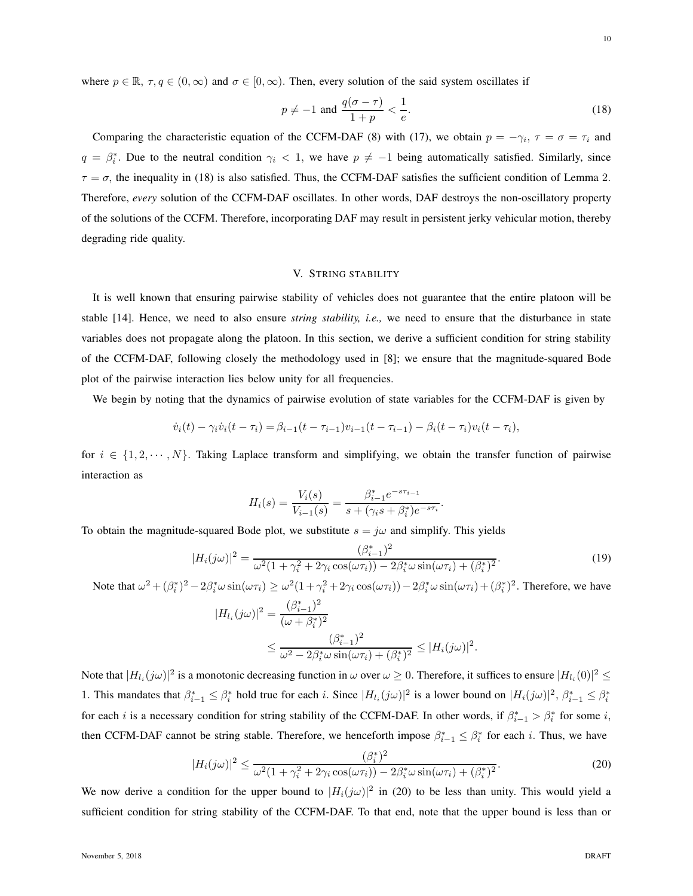where  $p \in \mathbb{R}$ ,  $\tau, q \in (0, \infty)$  and  $\sigma \in [0, \infty)$ . Then, every solution of the said system oscillates if

$$
p \neq -1 \text{ and } \frac{q(\sigma - \tau)}{1 + p} < \frac{1}{e}.\tag{18}
$$

Comparing the characteristic equation of the CCFM-DAF (8) with (17), we obtain  $p = -\gamma_i$ ,  $\tau = \sigma = \tau_i$  and  $q = \beta_i^*$ . Due to the neutral condition  $\gamma_i < 1$ , we have  $p \neq -1$  being automatically satisfied. Similarly, since  $\tau = \sigma$ , the inequality in (18) is also satisfied. Thus, the CCFM-DAF satisfies the sufficient condition of Lemma 2. Therefore, *every* solution of the CCFM-DAF oscillates. In other words, DAF destroys the non-oscillatory property of the solutions of the CCFM. Therefore, incorporating DAF may result in persistent jerky vehicular motion, thereby degrading ride quality.

# V. STRING STABILITY

It is well known that ensuring pairwise stability of vehicles does not guarantee that the entire platoon will be stable [14]. Hence, we need to also ensure *string stability, i.e.,* we need to ensure that the disturbance in state variables does not propagate along the platoon. In this section, we derive a sufficient condition for string stability of the CCFM-DAF, following closely the methodology used in [8]; we ensure that the magnitude-squared Bode plot of the pairwise interaction lies below unity for all frequencies.

We begin by noting that the dynamics of pairwise evolution of state variables for the CCFM-DAF is given by

$$
\dot{v}_i(t) - \gamma_i \dot{v}_i(t - \tau_i) = \beta_{i-1}(t - \tau_{i-1})v_{i-1}(t - \tau_{i-1}) - \beta_i(t - \tau_i)v_i(t - \tau_i),
$$

for  $i \in \{1, 2, \dots, N\}$ . Taking Laplace transform and simplifying, we obtain the transfer function of pairwise interaction as

$$
H_i(s) = \frac{V_i(s)}{V_{i-1}(s)} = \frac{\beta_{i-1}^* e^{-s\tau_{i-1}}}{s + (\gamma_i s + \beta_i^*) e^{-s\tau_i}}.
$$

To obtain the magnitude-squared Bode plot, we substitute  $s = j\omega$  and simplify. This yields

$$
|H_i(j\omega)|^2 = \frac{(\beta_{i-1}^*)^2}{\omega^2 (1 + \gamma_i^2 + 2\gamma_i \cos(\omega \tau_i)) - 2\beta_i^* \omega \sin(\omega \tau_i) + (\beta_i^*)^2}.
$$
(19)

Note that  $\omega^2 + (\beta_i^*)^2 - 2\beta_i^* \omega \sin(\omega \tau_i) \geq \omega^2 (1 + \gamma_i^2 + 2\gamma_i \cos(\omega \tau_i)) - 2\beta_i^* \omega \sin(\omega \tau_i) + (\beta_i^*)^2$ . Therefore, we have

$$
|H_{l_i}(j\omega)|^2 = \frac{(\beta_{i-1}^*)^2}{(\omega + \beta_i^*)^2}
$$
  
 
$$
\leq \frac{(\beta_{i-1}^*)^2}{\omega^2 - 2\beta_i^* \omega \sin(\omega \tau_i) + (\beta_i^*)^2} \leq |H_i(j\omega)|^2.
$$

Note that  $|H_{l_i}(j\omega)|^2$  is a monotonic decreasing function in  $\omega$  over  $\omega \ge 0$ . Therefore, it suffices to ensure  $|H_{l_i}(0)|^2 \le$ 1. This mandates that  $\beta_{i-1}^* \leq \beta_i^*$  hold true for each i. Since  $|H_{l_i}(j\omega)|^2$  is a lower bound on  $|H_i(j\omega)|^2$ ,  $\beta_{i-1}^* \leq \beta_i^*$ for each i is a necessary condition for string stability of the CCFM-DAF. In other words, if  $\beta_{i-1}^* > \beta_i^*$  for some i, then CCFM-DAF cannot be string stable. Therefore, we henceforth impose  $\beta_{i-1}^* \leq \beta_i^*$  for each i. Thus, we have

$$
|H_i(j\omega)|^2 \le \frac{(\beta_i^*)^2}{\omega^2 (1 + \gamma_i^2 + 2\gamma_i \cos(\omega \tau_i)) - 2\beta_i^* \omega \sin(\omega \tau_i) + (\beta_i^*)^2}.
$$
\n(20)

We now derive a condition for the upper bound to  $|H_i(j\omega)|^2$  in (20) to be less than unity. This would yield a sufficient condition for string stability of the CCFM-DAF. To that end, note that the upper bound is less than or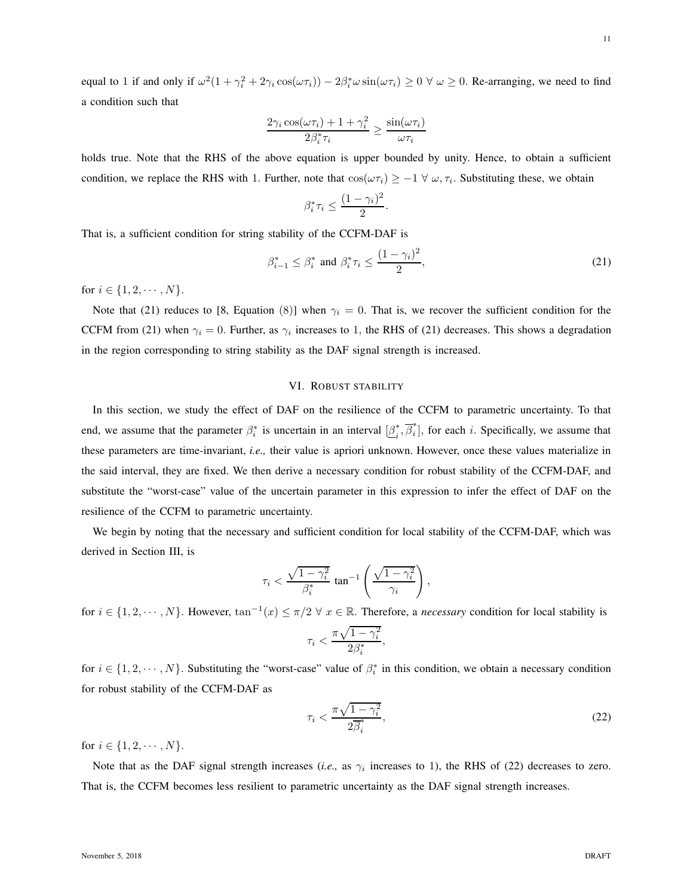equal to 1 if and only if  $\omega^2(1 + \gamma_i^2 + 2\gamma_i \cos(\omega \tau_i)) - 2\beta_i^* \omega \sin(\omega \tau_i) \ge 0 \ \forall \ \omega \ge 0$ . Re-arranging, we need to find a condition such that

$$
\frac{2\gamma_i \cos(\omega \tau_i) + 1 + \gamma_i^2}{2\beta_i^* \tau_i} \ge \frac{\sin(\omega \tau_i)}{\omega \tau_i}
$$

holds true. Note that the RHS of the above equation is upper bounded by unity. Hence, to obtain a sufficient condition, we replace the RHS with 1. Further, note that  $\cos(\omega \tau_i) \geq -1 \ \forall \ \omega, \tau_i$ . Substituting these, we obtain

$$
\beta_i^* \tau_i \le \frac{(1 - \gamma_i)^2}{2}.
$$

That is, a sufficient condition for string stability of the CCFM-DAF is

$$
\beta_{i-1}^* \le \beta_i^* \text{ and } \beta_i^* \tau_i \le \frac{(1-\gamma_i)^2}{2},\tag{21}
$$

for  $i \in \{1, 2, \cdots, N\}$ .

Note that (21) reduces to [8, Equation (8)] when  $\gamma_i = 0$ . That is, we recover the sufficient condition for the CCFM from (21) when  $\gamma_i = 0$ . Further, as  $\gamma_i$  increases to 1, the RHS of (21) decreases. This shows a degradation in the region corresponding to string stability as the DAF signal strength is increased.

## VI. ROBUST STABILITY

In this section, we study the effect of DAF on the resilience of the CCFM to parametric uncertainty. To that end, we assume that the parameter  $\beta_i^*$  is uncertain in an interval  $[\underline{\beta}_i^*]$  $\overrightarrow{i}, \overrightarrow{\beta}_{i}^*$  $[i]$ , for each i. Specifically, we assume that these parameters are time-invariant, *i.e.,* their value is apriori unknown. However, once these values materialize in the said interval, they are fixed. We then derive a necessary condition for robust stability of the CCFM-DAF, and substitute the "worst-case" value of the uncertain parameter in this expression to infer the effect of DAF on the resilience of the CCFM to parametric uncertainty.

We begin by noting that the necessary and sufficient condition for local stability of the CCFM-DAF, which was derived in Section III, is

$$
\tau_i < \frac{\sqrt{1-\gamma_i^2}}{\beta_i^*} \tan^{-1} \left( \frac{\sqrt{1-\gamma_i^2}}{\gamma_i} \right),
$$

for  $i \in \{1, 2, \dots, N\}$ . However,  $\tan^{-1}(x) \le \pi/2 \ \forall \ x \in \mathbb{R}$ . Therefore, a *necessary* condition for local stability is

$$
\tau_i < \frac{\pi\sqrt{1-\gamma_i^2}}{2\beta_i^*},
$$

for  $i \in \{1, 2, \dots, N\}$ . Substituting the "worst-case" value of  $\beta_i^*$  in this condition, we obtain a necessary condition for robust stability of the CCFM-DAF as

$$
\tau_i < \frac{\pi\sqrt{1-\gamma_i^2}}{2\overline{\beta}_i^*},\tag{22}
$$

for  $i \in \{1, 2, \cdots, N\}$ .

Note that as the DAF signal strength increases (*i.e.*, as  $\gamma_i$  increases to 1), the RHS of (22) decreases to zero. That is, the CCFM becomes less resilient to parametric uncertainty as the DAF signal strength increases.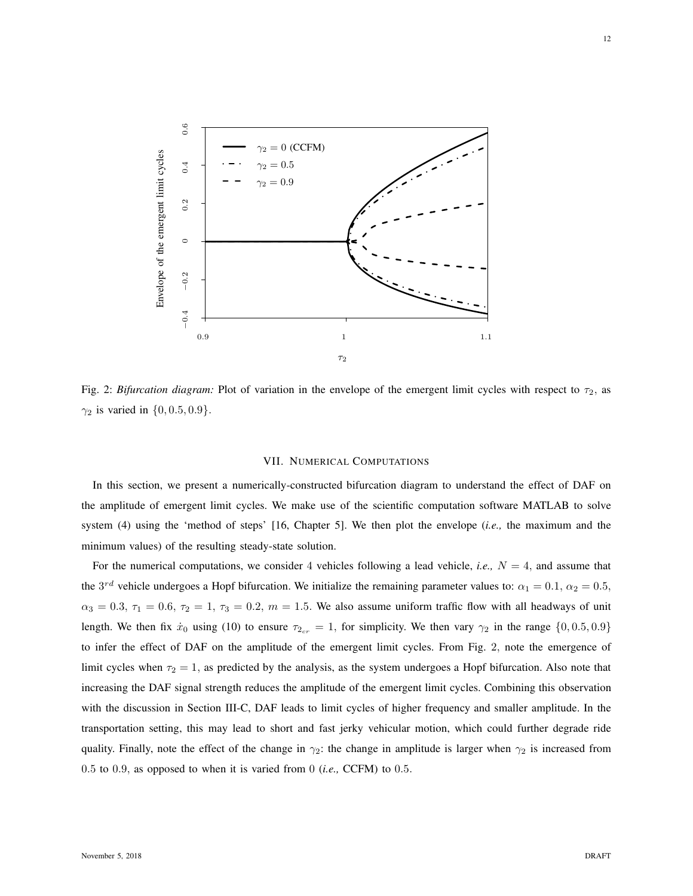

Fig. 2: *Bifurcation diagram:* Plot of variation in the envelope of the emergent limit cycles with respect to  $\tau_2$ , as  $\gamma_2$  is varied in  $\{0, 0.5, 0.9\}.$ 

#### VII. NUMERICAL COMPUTATIONS

In this section, we present a numerically-constructed bifurcation diagram to understand the effect of DAF on the amplitude of emergent limit cycles. We make use of the scientific computation software MATLAB to solve system (4) using the 'method of steps' [16, Chapter 5]. We then plot the envelope (*i.e.,* the maximum and the minimum values) of the resulting steady-state solution.

For the numerical computations, we consider 4 vehicles following a lead vehicle, *i.e.*,  $N = 4$ , and assume that the  $3^{rd}$  vehicle undergoes a Hopf bifurcation. We initialize the remaining parameter values to:  $\alpha_1 = 0.1$ ,  $\alpha_2 = 0.5$ ,  $\alpha_3 = 0.3$ ,  $\tau_1 = 0.6$ ,  $\tau_2 = 1$ ,  $\tau_3 = 0.2$ ,  $m = 1.5$ . We also assume uniform traffic flow with all headways of unit length. We then fix  $\dot{x}_0$  using (10) to ensure  $\tau_{2_{cr}} = 1$ , for simplicity. We then vary  $\gamma_2$  in the range  $\{0, 0.5, 0.9\}$ to infer the effect of DAF on the amplitude of the emergent limit cycles. From Fig. 2, note the emergence of limit cycles when  $\tau_2 = 1$ , as predicted by the analysis, as the system undergoes a Hopf bifurcation. Also note that increasing the DAF signal strength reduces the amplitude of the emergent limit cycles. Combining this observation with the discussion in Section III-C, DAF leads to limit cycles of higher frequency and smaller amplitude. In the transportation setting, this may lead to short and fast jerky vehicular motion, which could further degrade ride quality. Finally, note the effect of the change in  $\gamma_2$ : the change in amplitude is larger when  $\gamma_2$  is increased from 0.5 to 0.9, as opposed to when it is varied from 0 (*i.e.,* CCFM) to 0.5.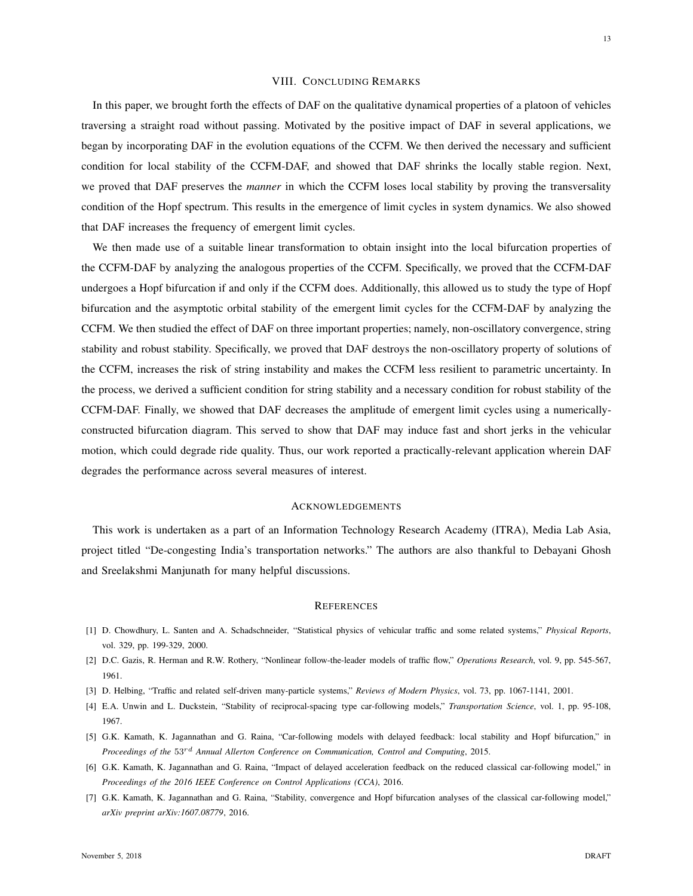#### VIII. CONCLUDING REMARKS

In this paper, we brought forth the effects of DAF on the qualitative dynamical properties of a platoon of vehicles traversing a straight road without passing. Motivated by the positive impact of DAF in several applications, we began by incorporating DAF in the evolution equations of the CCFM. We then derived the necessary and sufficient condition for local stability of the CCFM-DAF, and showed that DAF shrinks the locally stable region. Next, we proved that DAF preserves the *manner* in which the CCFM loses local stability by proving the transversality condition of the Hopf spectrum. This results in the emergence of limit cycles in system dynamics. We also showed that DAF increases the frequency of emergent limit cycles.

We then made use of a suitable linear transformation to obtain insight into the local bifurcation properties of the CCFM-DAF by analyzing the analogous properties of the CCFM. Specifically, we proved that the CCFM-DAF undergoes a Hopf bifurcation if and only if the CCFM does. Additionally, this allowed us to study the type of Hopf bifurcation and the asymptotic orbital stability of the emergent limit cycles for the CCFM-DAF by analyzing the CCFM. We then studied the effect of DAF on three important properties; namely, non-oscillatory convergence, string stability and robust stability. Specifically, we proved that DAF destroys the non-oscillatory property of solutions of the CCFM, increases the risk of string instability and makes the CCFM less resilient to parametric uncertainty. In the process, we derived a sufficient condition for string stability and a necessary condition for robust stability of the CCFM-DAF. Finally, we showed that DAF decreases the amplitude of emergent limit cycles using a numericallyconstructed bifurcation diagram. This served to show that DAF may induce fast and short jerks in the vehicular motion, which could degrade ride quality. Thus, our work reported a practically-relevant application wherein DAF degrades the performance across several measures of interest.

#### ACKNOWLEDGEMENTS

This work is undertaken as a part of an Information Technology Research Academy (ITRA), Media Lab Asia, project titled "De-congesting India's transportation networks." The authors are also thankful to Debayani Ghosh and Sreelakshmi Manjunath for many helpful discussions.

#### **REFERENCES**

- [1] D. Chowdhury, L. Santen and A. Schadschneider, "Statistical physics of vehicular traffic and some related systems," *Physical Reports*, vol. 329, pp. 199-329, 2000.
- [2] D.C. Gazis, R. Herman and R.W. Rothery, "Nonlinear follow-the-leader models of traffic flow," *Operations Research*, vol. 9, pp. 545-567, 1961.
- [3] D. Helbing, "Traffic and related self-driven many-particle systems," *Reviews of Modern Physics*, vol. 73, pp. 1067-1141, 2001.
- [4] E.A. Unwin and L. Duckstein, "Stability of reciprocal-spacing type car-following models," *Transportation Science*, vol. 1, pp. 95-108, 1967.
- [5] G.K. Kamath, K. Jagannathan and G. Raina, "Car-following models with delayed feedback: local stability and Hopf bifurcation," in *Proceedings of the* 53rd *Annual Allerton Conference on Communication, Control and Computing*, 2015.
- [6] G.K. Kamath, K. Jagannathan and G. Raina, "Impact of delayed acceleration feedback on the reduced classical car-following model," in *Proceedings of the 2016 IEEE Conference on Control Applications (CCA)*, 2016.
- [7] G.K. Kamath, K. Jagannathan and G. Raina, "Stability, convergence and Hopf bifurcation analyses of the classical car-following model," *arXiv preprint arXiv:1607.08779*, 2016.